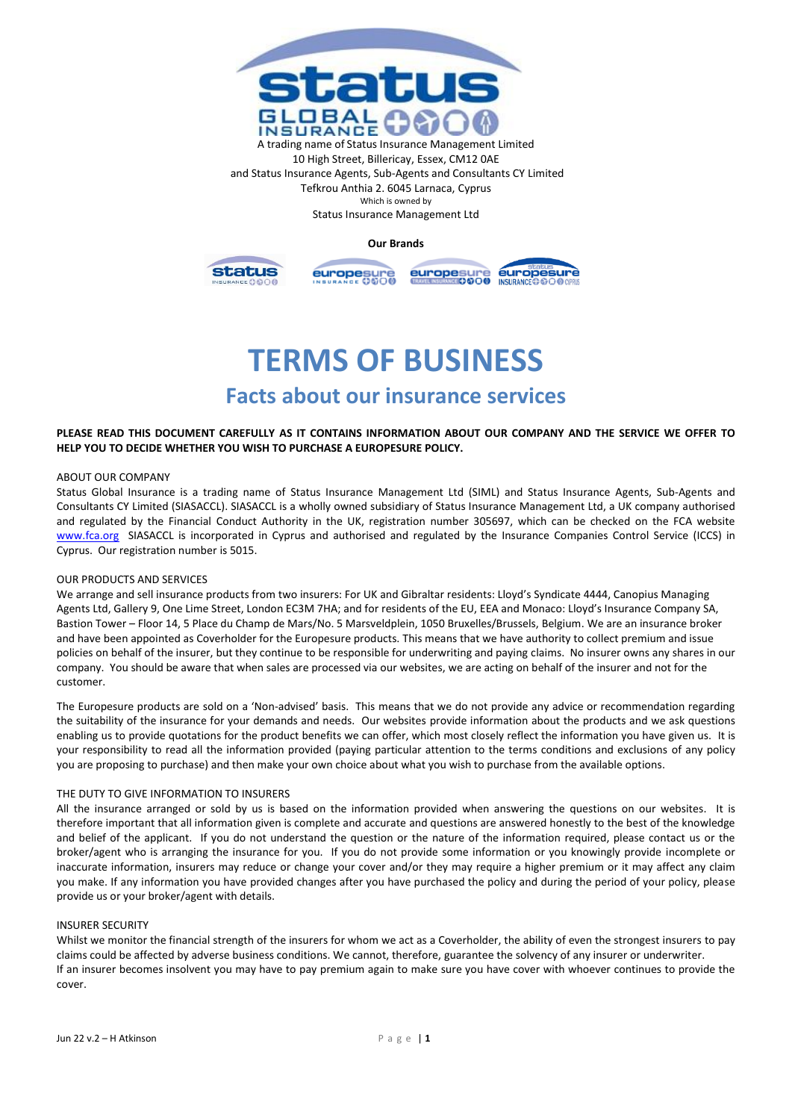

and Status Insurance Agents, Sub-Agents and Consultants CY Limited Tefkrou Anthia 2. 6045 Larnaca, Cyprus Which is owned by Status Insurance Management Ltd

# **Our Brands**





# **TERMS OF BUSINESS**

# **Facts about our insurance services**

# **PLEASE READ THIS DOCUMENT CAREFULLY AS IT CONTAINS INFORMATION ABOUT OUR COMPANY AND THE SERVICE WE OFFER TO HELP YOU TO DECIDE WHETHER YOU WISH TO PURCHASE A EUROPESURE POLICY.**

# ABOUT OUR COMPANY

Status Global Insurance is a trading name of Status Insurance Management Ltd (SIML) and Status Insurance Agents, Sub-Agents and Consultants CY Limited (SIASACCL). SIASACCL is a wholly owned subsidiary of Status Insurance Management Ltd, a UK company authorised and regulated by the Financial Conduct Authority in the UK, registration number 305697, which can be checked on the FCA website [www.fca.org](http://www.fca.org/) SIASACCL is incorporated in Cyprus and authorised and regulated by the Insurance Companies Control Service (ICCS) in Cyprus. Our registration number is 5015.

# OUR PRODUCTS AND SERVICES

We arrange and sell insurance products from two insurers: For UK and Gibraltar residents: Lloyd's Syndicate 4444, Canopius Managing Agents Ltd, Gallery 9, One Lime Street, London EC3M 7HA; and for residents of the EU, EEA and Monaco: Lloyd's Insurance Company SA, Bastion Tower – Floor 14, 5 Place du Champ de Mars/No. 5 Marsveldplein, 1050 Bruxelles/Brussels, Belgium. We are an insurance broker and have been appointed as Coverholder for the Europesure products. This means that we have authority to collect premium and issue policies on behalf of the insurer, but they continue to be responsible for underwriting and paying claims. No insurer owns any shares in our company. You should be aware that when sales are processed via our websites, we are acting on behalf of the insurer and not for the customer.

The Europesure products are sold on a 'Non-advised' basis. This means that we do not provide any advice or recommendation regarding the suitability of the insurance for your demands and needs. Our websites provide information about the products and we ask questions enabling us to provide quotations for the product benefits we can offer, which most closely reflect the information you have given us. It is your responsibility to read all the information provided (paying particular attention to the terms conditions and exclusions of any policy you are proposing to purchase) and then make your own choice about what you wish to purchase from the available options.

# THE DUTY TO GIVE INFORMATION TO INSURERS

All the insurance arranged or sold by us is based on the information provided when answering the questions on our websites. It is therefore important that all information given is complete and accurate and questions are answered honestly to the best of the knowledge and belief of the applicant. If you do not understand the question or the nature of the information required, please contact us or the broker/agent who is arranging the insurance for you. If you do not provide some information or you knowingly provide incomplete or inaccurate information, insurers may reduce or change your cover and/or they may require a higher premium or it may affect any claim you make. If any information you have provided changes after you have purchased the policy and during the period of your policy, please provide us or your broker/agent with details.

#### INSURER SECURITY

Whilst we monitor the financial strength of the insurers for whom we act as a Coverholder, the ability of even the strongest insurers to pay claims could be affected by adverse business conditions. We cannot, therefore, guarantee the solvency of any insurer or underwriter. If an insurer becomes insolvent you may have to pay premium again to make sure you have cover with whoever continues to provide the cover.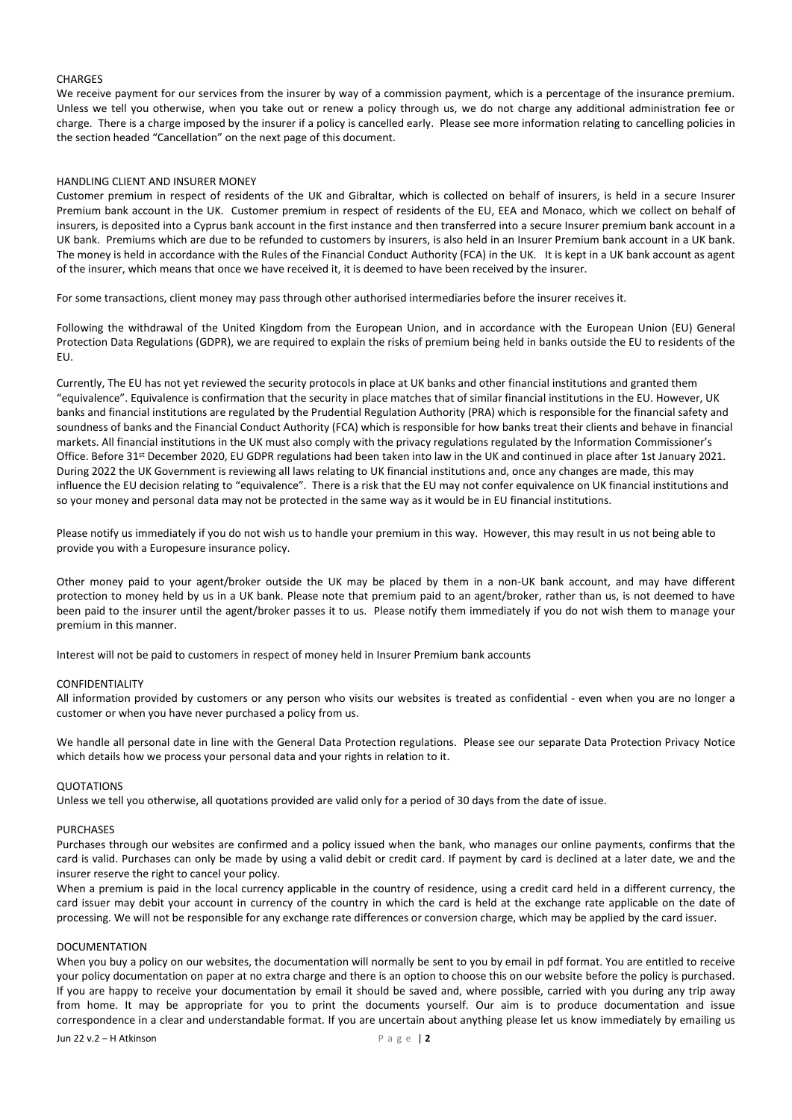# **CHARGES**

We receive payment for our services from the insurer by way of a commission payment, which is a percentage of the insurance premium. Unless we tell you otherwise, when you take out or renew a policy through us, we do not charge any additional administration fee or charge. There is a charge imposed by the insurer if a policy is cancelled early. Please see more information relating to cancelling policies in the section headed "Cancellation" on the next page of this document.

# HANDLING CLIENT AND INSURER MONEY

Customer premium in respect of residents of the UK and Gibraltar, which is collected on behalf of insurers, is held in a secure Insurer Premium bank account in the UK. Customer premium in respect of residents of the EU, EEA and Monaco, which we collect on behalf of insurers, is deposited into a Cyprus bank account in the first instance and then transferred into a secure Insurer premium bank account in a UK bank. Premiums which are due to be refunded to customers by insurers, is also held in an Insurer Premium bank account in a UK bank. The money is held in accordance with the Rules of the Financial Conduct Authority (FCA) in the UK. It is kept in a UK bank account as agent of the insurer, which means that once we have received it, it is deemed to have been received by the insurer.

For some transactions, client money may pass through other authorised intermediaries before the insurer receives it.

Following the withdrawal of the United Kingdom from the European Union, and in accordance with the European Union (EU) General Protection Data Regulations (GDPR), we are required to explain the risks of premium being held in banks outside the EU to residents of the EU.

Currently, The EU has not yet reviewed the security protocols in place at UK banks and other financial institutions and granted them "equivalence". Equivalence is confirmation that the security in place matches that of similar financial institutions in the EU. However, UK banks and financial institutions are regulated by the Prudential Regulation Authority (PRA) which is responsible for the financial safety and soundness of banks and the Financial Conduct Authority (FCA) which is responsible for how banks treat their clients and behave in financial markets. All financial institutions in the UK must also comply with the privacy regulations regulated by the Information Commissioner's Office. Before 31st December 2020, EU GDPR regulations had been taken into law in the UK and continued in place after 1st January 2021. During 2022 the UK Government is reviewing all laws relating to UK financial institutions and, once any changes are made, this may influence the EU decision relating to "equivalence". There is a risk that the EU may not confer equivalence on UK financial institutions and so your money and personal data may not be protected in the same way as it would be in EU financial institutions.

Please notify us immediately if you do not wish us to handle your premium in this way. However, this may result in us not being able to provide you with a Europesure insurance policy.

Other money paid to your agent/broker outside the UK may be placed by them in a non-UK bank account, and may have different protection to money held by us in a UK bank. Please note that premium paid to an agent/broker, rather than us, is not deemed to have been paid to the insurer until the agent/broker passes it to us. Please notify them immediately if you do not wish them to manage your premium in this manner.

Interest will not be paid to customers in respect of money held in Insurer Premium bank accounts

#### CONFIDENTIALITY

All information provided by customers or any person who visits our websites is treated as confidential - even when you are no longer a customer or when you have never purchased a policy from us.

We handle all personal date in line with the General Data Protection regulations. Please see our separate Data Protection Privacy Notice which details how we process your personal data and your rights in relation to it.

#### **QUOTATIONS**

Unless we tell you otherwise, all quotations provided are valid only for a period of 30 days from the date of issue.

#### **PURCHASES**

Purchases through our websites are confirmed and a policy issued when the bank, who manages our online payments, confirms that the card is valid. Purchases can only be made by using a valid debit or credit card. If payment by card is declined at a later date, we and the insurer reserve the right to cancel your policy.

When a premium is paid in the local currency applicable in the country of residence, using a credit card held in a different currency, the card issuer may debit your account in currency of the country in which the card is held at the exchange rate applicable on the date of processing. We will not be responsible for any exchange rate differences or conversion charge, which may be applied by the card issuer.

#### DOCUMENTATION

When you buy a policy on our websites, the documentation will normally be sent to you by email in pdf format. You are entitled to receive your policy documentation on paper at no extra charge and there is an option to choose this on our website before the policy is purchased. If you are happy to receive your documentation by email it should be saved and, where possible, carried with you during any trip away from home. It may be appropriate for you to print the documents yourself. Our aim is to produce documentation and issue correspondence in a clear and understandable format. If you are uncertain about anything please let us know immediately by emailing us